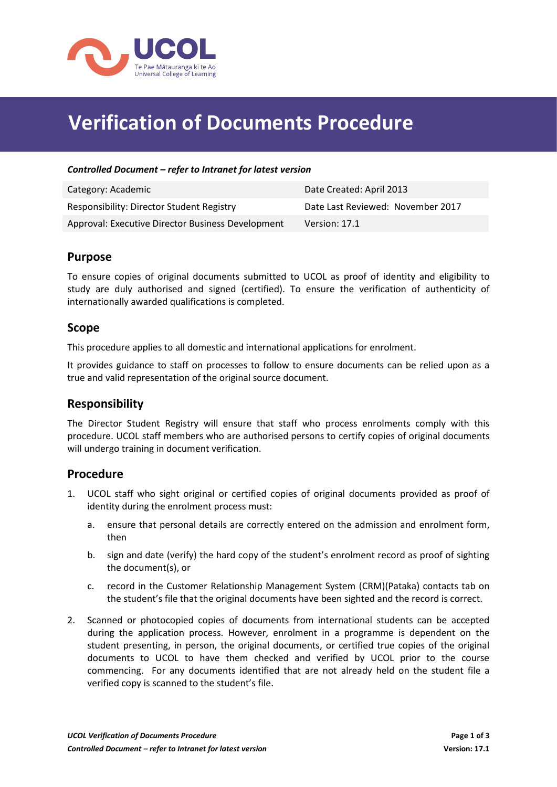

# **Verification of Documents Procedure**

#### *Controlled Document – refer to Intranet for latest version*

| Category: Academic                                | Date Created: April 2013          |
|---------------------------------------------------|-----------------------------------|
| <b>Responsibility: Director Student Registry</b>  | Date Last Reviewed: November 2017 |
| Approval: Executive Director Business Development | Version: 17.1                     |

#### **Purpose**

To ensure copies of original documents submitted to UCOL as proof of identity and eligibility to study are duly authorised and signed (certified). To ensure the verification of authenticity of internationally awarded qualifications is completed.

#### **Scope**

This procedure applies to all domestic and international applications for enrolment.

It provides guidance to staff on processes to follow to ensure documents can be relied upon as a true and valid representation of the original source document.

#### **Responsibility**

The Director Student Registry will ensure that staff who process enrolments comply with this procedure. UCOL staff members who are authorised persons to certify copies of original documents will undergo training in document verification.

#### **Procedure**

- 1. UCOL staff who sight original or certified copies of original documents provided as proof of identity during the enrolment process must:
	- a. ensure that personal details are correctly entered on the admission and enrolment form, then
	- b. sign and date (verify) the hard copy of the student's enrolment record as proof of sighting the document(s), or
	- c. record in the Customer Relationship Management System (CRM)(Pataka) contacts tab on the student's file that the original documents have been sighted and the record is correct.
- 2. Scanned or photocopied copies of documents from international students can be accepted during the application process. However, enrolment in a programme is dependent on the student presenting, in person, the original documents, or certified true copies of the original documents to UCOL to have them checked and verified by UCOL prior to the course commencing. For any documents identified that are not already held on the student file a verified copy is scanned to the student's file.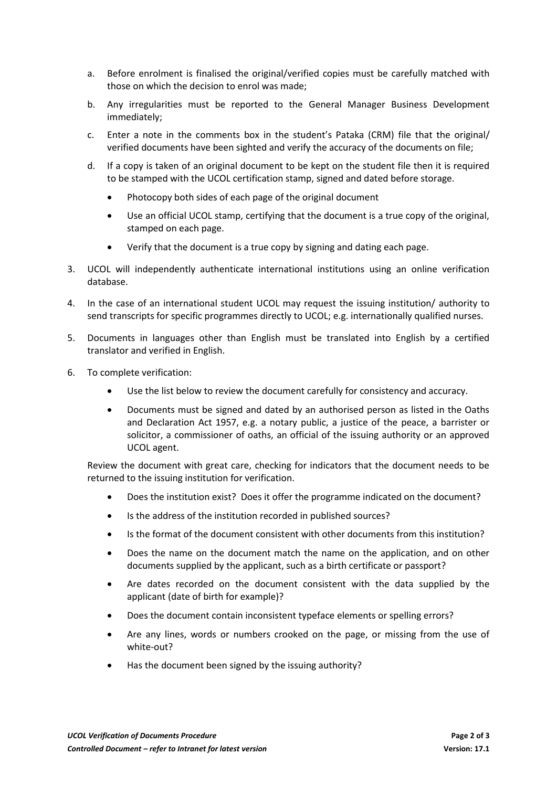- a. Before enrolment is finalised the original/verified copies must be carefully matched with those on which the decision to enrol was made;
- b. Any irregularities must be reported to the General Manager Business Development immediately;
- c. Enter a note in the comments box in the student's Pataka (CRM) file that the original/ verified documents have been sighted and verify the accuracy of the documents on file;
- d. If a copy is taken of an original document to be kept on the student file then it is required to be stamped with the UCOL certification stamp, signed and dated before storage.
	- Photocopy both sides of each page of the original document
	- Use an official UCOL stamp, certifying that the document is a true copy of the original, stamped on each page.
	- Verify that the document is a true copy by signing and dating each page.
- 3. UCOL will independently authenticate international institutions using an online verification database.
- 4. In the case of an international student UCOL may request the issuing institution/ authority to send transcripts for specific programmes directly to UCOL; e.g. internationally qualified nurses.
- 5. Documents in languages other than English must be translated into English by a certified translator and verified in English.
- 6. To complete verification:
	- Use the list below to review the document carefully for consistency and accuracy.
	- Documents must be signed and dated by an authorised person as listed in the Oaths and Declaration Act 1957, e.g. a notary public, a justice of the peace, a barrister or solicitor, a commissioner of oaths, an official of the issuing authority or an approved UCOL agent.

Review the document with great care, checking for indicators that the document needs to be returned to the issuing institution for verification.

- Does the institution exist? Does it offer the programme indicated on the document?
- Is the address of the institution recorded in published sources?
- Is the format of the document consistent with other documents from this institution?
- Does the name on the document match the name on the application, and on other documents supplied by the applicant, such as a birth certificate or passport?
- Are dates recorded on the document consistent with the data supplied by the applicant (date of birth for example)?
- Does the document contain inconsistent typeface elements or spelling errors?
- Are any lines, words or numbers crooked on the page, or missing from the use of white-out?
- Has the document been signed by the issuing authority?